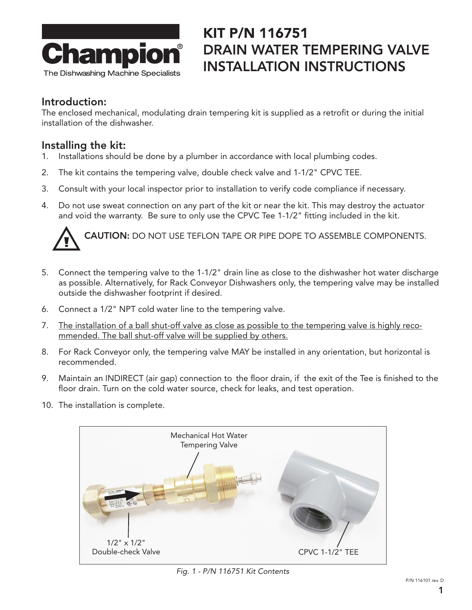

### KIT P/N 116751 DRAIN WATER TEMPERING VALVE INSTALLATION INSTRUCTIONS

#### Introduction:

The enclosed mechanical, modulating drain tempering kit is supplied as a retrofit or during the initial installation of the dishwasher.

### Installing the kit:

- 1. Installations should be done by a plumber in accordance with local plumbing codes.
- 2. The kit contains the tempering valve, double check valve and 1-1/2" CPVC TEE.
- 3. Consult with your local inspector prior to installation to verify code compliance if necessary.
- 4. Do not use sweat connection on any part of the kit or near the kit. This may destroy the actuator and void the warranty. Be sure to only use the CPVC Tee 1-1/2" fitting included in the kit.



CAUTION: DO NOT USE TEFLON TAPE OR PIPE DOPE TO ASSEMBLE COMPONENTS.

- 5. Connect the tempering valve to the 1-1/2" drain line as close to the dishwasher hot water discharge as possible. Alternatively, for Rack Conveyor Dishwashers only, the tempering valve may be installed outside the dishwasher footprint if desired.
- 6. Connect a 1/2" NPT cold water line to the tempering valve.
- 7. The installation of a ball shut-off valve as close as possible to the tempering valve is highly recommended. The ball shut-off valve will be supplied by others.
- 8. For Rack Conveyor only, the tempering valve MAY be installed in any orientation, but horizontal is recommended.
- 9. Maintain an INDIRECT (air gap) connection to the floor drain, if the exit of the Tee is finished to the floor drain. Turn on the cold water source, check for leaks, and test operation.
- 10. The installation is complete.



*Fig. 1 - P/N 116751 Kit Contents*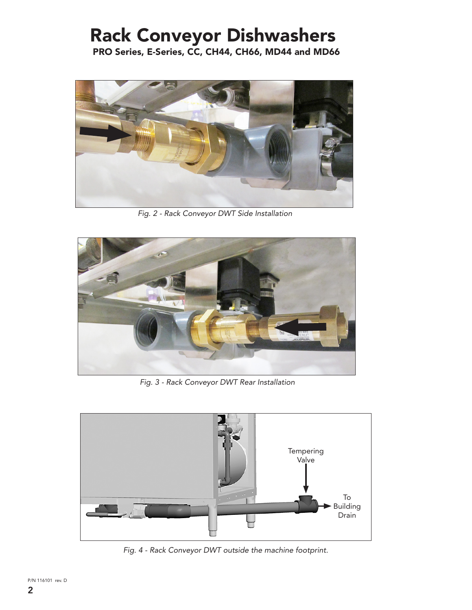# Rack Conveyor Dishwashers

PRO Series, E-Series, CC, CH44, CH66, MD44 and MD66



*Fig. 2 - Rack Conveyor DWT Side Installation* 



*Fig. 3 - Rack Conveyor DWT Rear Installation* 



*Fig. 4 - Rack Conveyor DWT outside the machine footprint.*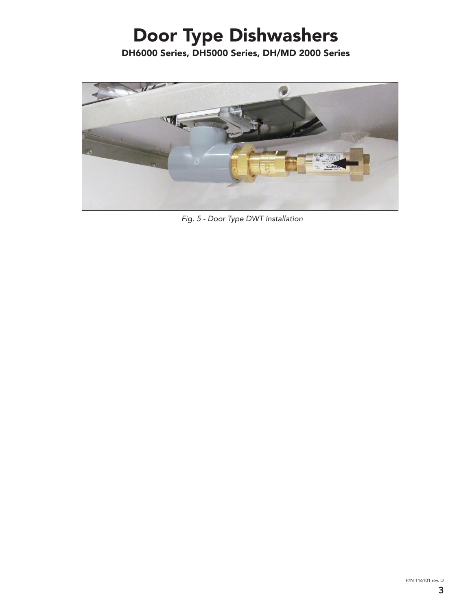# Door Type Dishwashers

DH6000 Series, DH5000 Series, DH/MD 2000 Series



*Fig. 5 - Door Type DWT Installation*